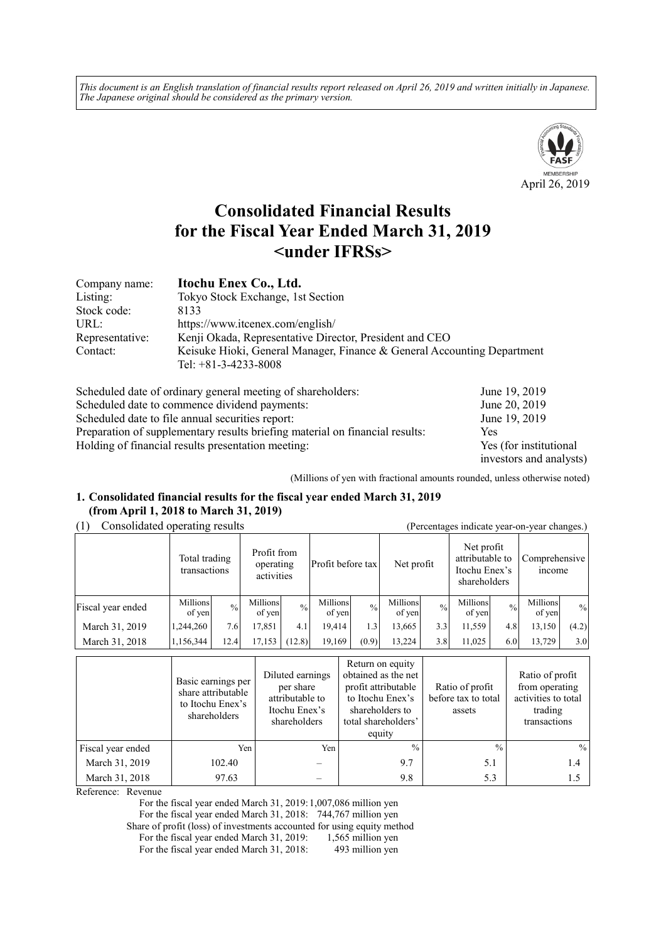*This document is an English translation of financial results report released on April 26, 2019 and written initially in Japanese. The Japanese original should be considered as the primary version.*



# **Consolidated Financial Results for the Fiscal Year Ended March 31, 2019 <under IFRSs>**

| Company name:   | Itochu Enex Co., Ltd.                                                                             |
|-----------------|---------------------------------------------------------------------------------------------------|
| Listing:        | Tokyo Stock Exchange, 1st Section                                                                 |
| Stock code:     | 8133                                                                                              |
| URL:            | https://www.itcenex.com/english/                                                                  |
| Representative: | Kenji Okada, Representative Director, President and CEO                                           |
| Contact:        | Keisuke Hioki, General Manager, Finance & General Accounting Department<br>Tel: $+81-3-4233-8008$ |

| Scheduled date of ordinary general meeting of shareholders:                  | June 19, 2019           |
|------------------------------------------------------------------------------|-------------------------|
| Scheduled date to commence dividend payments:                                | June 20, 2019           |
| Scheduled date to file annual securities report:                             | June 19, 2019           |
| Preparation of supplementary results briefing material on financial results: | Yes                     |
| Holding of financial results presentation meeting:                           | Yes (for institutional  |
|                                                                              | investors and analysts) |

(Millions of yen with fractional amounts rounded, unless otherwise noted)

## **1. Consolidated financial results for the fiscal year ended March 31, 2019 (from April 1, 2018 to March 31, 2019)**

# (1) Consolidated operating results (Percentages indicate year-on-year changes.)

| $\alpha$ creening $\alpha$ mercure year on year enanges. |                               |               |                                        |               |                    |               |                    |             |                                                                |               |                                |               |
|----------------------------------------------------------|-------------------------------|---------------|----------------------------------------|---------------|--------------------|---------------|--------------------|-------------|----------------------------------------------------------------|---------------|--------------------------------|---------------|
|                                                          | Total trading<br>transactions |               | Profit from<br>operating<br>activities |               | Profit before tax  |               | Net profit         |             | Net profit<br>attributable to<br>Itochu Enex's<br>shareholders |               | Comprehensive<br><i>n</i> come |               |
| Fiscal year ended                                        | Millions<br>of yen            | $\frac{0}{0}$ | Millions<br>of yen                     | $\frac{0}{0}$ | Millions<br>of yen | $\frac{0}{0}$ | Millions<br>of yen | $^{0}/_{0}$ | Millions<br>of yen                                             | $\frac{0}{0}$ | Millions<br>of yen             | $\frac{0}{0}$ |
| March 31, 2019                                           | 1,244,260                     | 7.6           | 17.851                                 | 4.1           | 19.414             | $1.3^{\circ}$ | 13.665             | 3.3         | 11,559                                                         | 4.8           | 13,150                         | (4.2)         |
| March 31, 2018                                           | 1,156,344                     | 12.4          | 17,153                                 | (12.8)        | 19,169             | (0.9)         | 13,224             | 3.8         | 11,025                                                         | 6.0           | 13,729                         | 3.0           |

|                   | Basic earnings per<br>share attributable<br>to Itochu Enex's<br>shareholders | Diluted earnings<br>per share<br>attributable to<br>Itochu Enex's<br>shareholders | Return on equity<br>obtained as the net<br>profit attributable<br>to Itochu Enex's<br>shareholders to<br>total shareholders'<br>equity | Ratio of profit<br>before tax to total<br>assets | Ratio of profit<br>from operating<br>activities to total<br>trading<br>transactions |
|-------------------|------------------------------------------------------------------------------|-----------------------------------------------------------------------------------|----------------------------------------------------------------------------------------------------------------------------------------|--------------------------------------------------|-------------------------------------------------------------------------------------|
| Fiscal year ended | Yen                                                                          | Yen                                                                               | $\frac{0}{0}$                                                                                                                          | $^{0}/_{0}$                                      | $\frac{0}{0}$                                                                       |
| March 31, 2019    | 102.40                                                                       |                                                                                   | 9.7                                                                                                                                    | 5.1                                              | 1.4                                                                                 |
| March 31, 2018    | 97.63                                                                        |                                                                                   | 9.8                                                                                                                                    | 5.3                                              |                                                                                     |

Reference: Revenue

For the fiscal year ended March 31, 2019: 1,007,086 million yen

For the fiscal year ended March 31, 2018: 744,767 million yen

Share of profit (loss) of investments accounted for using equity method<br>For the fiscal year ended March 31, 2019: 1,565 million yen For the fiscal year ended March 31, 2019:

For the fiscal year ended March 31, 2018: 493 million yen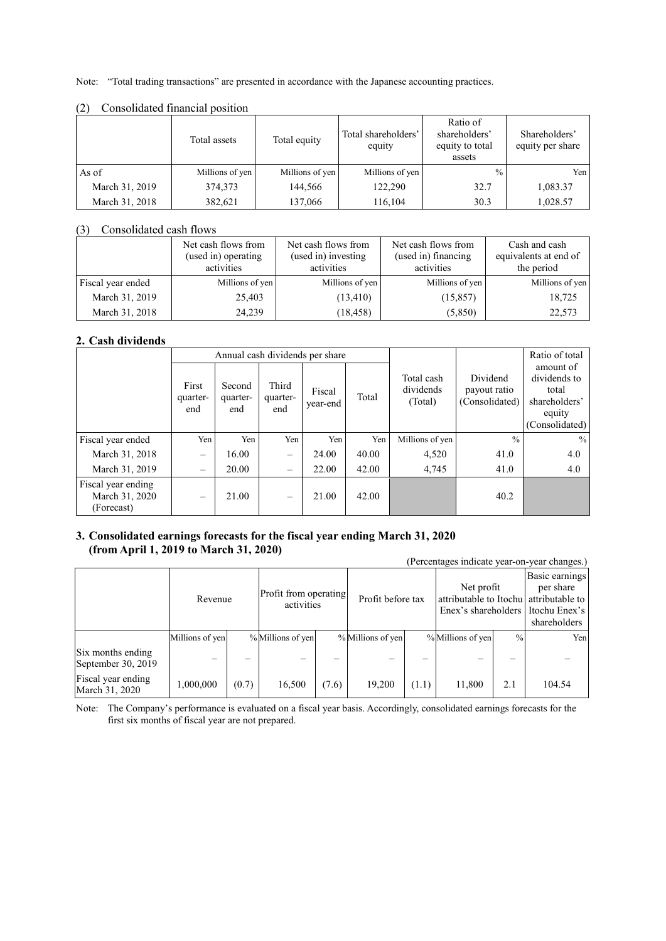Note: "Total trading transactions" are presented in accordance with the Japanese accounting practices.

|                | Total assets    | Total equity    | Total shareholders'<br>equity | Ratio of<br>shareholders'<br>equity to total<br>assets | Shareholders'<br>equity per share |
|----------------|-----------------|-----------------|-------------------------------|--------------------------------------------------------|-----------------------------------|
| As of          | Millions of yen | Millions of yen | Millions of yen               | $\frac{0}{0}$                                          | Yen l                             |
| March 31, 2019 | 374,373         | 144,566         | 122,290                       | 32.7                                                   | 1,083.37                          |
| March 31, 2018 | 382,621         | 137,066         | 116,104                       | 30.3                                                   | 1,028.57                          |

#### (2) Consolidated financial position

# (3) Consolidated cash flows

|                   | Net cash flows from<br>(used in) operating<br>activities | Net cash flows from<br>(used in) investing<br>activities | Net cash flows from<br>(used in) financing<br>activities | Cash and cash<br>equivalents at end of<br>the period |
|-------------------|----------------------------------------------------------|----------------------------------------------------------|----------------------------------------------------------|------------------------------------------------------|
| Fiscal year ended | Millions of yen                                          | Millions of yen                                          | Millions of yen                                          | Millions of yen                                      |
| March 31, 2019    | 25,403                                                   | (13, 410)                                                | (15, 857)                                                | 18,725                                               |
| March 31, 2018    | 24,239                                                   | (18, 458)                                                | (5,850)                                                  | 22,573                                               |

# **2. Cash dividends**

|                                                    |                          | Annual cash dividends per share |                          |                    |       | Ratio of total                     |                                            |                                                                                 |
|----------------------------------------------------|--------------------------|---------------------------------|--------------------------|--------------------|-------|------------------------------------|--------------------------------------------|---------------------------------------------------------------------------------|
|                                                    | First<br>quarter-<br>end | Second<br>quarter-<br>end       | Third<br>quarter-<br>end | Fiscal<br>year-end | Total | Total cash<br>dividends<br>(Total) | Dividend<br>payout ratio<br>(Consolidated) | amount of<br>dividends to<br>total<br>shareholders'<br>equity<br>(Consolidated) |
| Fiscal year ended                                  | Yen                      | Yen                             | Yen                      | Yen                | Yen   | Millions of yen                    | $\frac{0}{0}$                              | $\frac{0}{0}$                                                                   |
| March 31, 2018                                     | $\overline{\phantom{m}}$ | 16.00                           | $\overline{\phantom{m}}$ | 24.00              | 40.00 | 4,520                              | 41.0                                       | 4.0                                                                             |
| March 31, 2019                                     | $\qquad \qquad =$        | 20.00                           | $\overline{\phantom{0}}$ | 22.00              | 42.00 | 4,745                              | 41.0                                       | 4.0                                                                             |
| Fiscal year ending<br>March 31, 2020<br>(Forecast) |                          | 21.00                           |                          | 21.00              | 42.00 |                                    | 40.2                                       |                                                                                 |

# **3. Consolidated earnings forecasts for the fiscal year ending March 31, 2020 (from April 1, 2019 to March 31, 2020)**

|                                         |                 |       |                                     |       |                   |       |                                                                             |               | (Percentages indicate year-on-year changes.)                 |
|-----------------------------------------|-----------------|-------|-------------------------------------|-------|-------------------|-------|-----------------------------------------------------------------------------|---------------|--------------------------------------------------------------|
|                                         | Revenue         |       | Profit from operating<br>activities |       | Profit before tax |       | Net profit<br>attributable to Itochu attributable to<br>Enex's shareholders |               | Basic earnings<br>per share<br>Itochu Enex's<br>shareholders |
|                                         | Millions of yen |       | % Millions of yen                   |       | % Millions of yen |       | % Millions of yen                                                           | $\frac{0}{0}$ | Yen                                                          |
| Six months ending<br>September 30, 2019 | -               |       |                                     |       |                   |       |                                                                             |               |                                                              |
| Fiscal year ending<br>March 31, 2020    | 1,000,000       | (0.7) | 16,500                              | (7.6) | 19,200            | (1.1) | 11,800                                                                      | 2.1           | 104.54                                                       |

Note: The Company's performance is evaluated on a fiscal year basis. Accordingly, consolidated earnings forecasts for the first six months of fiscal year are not prepared.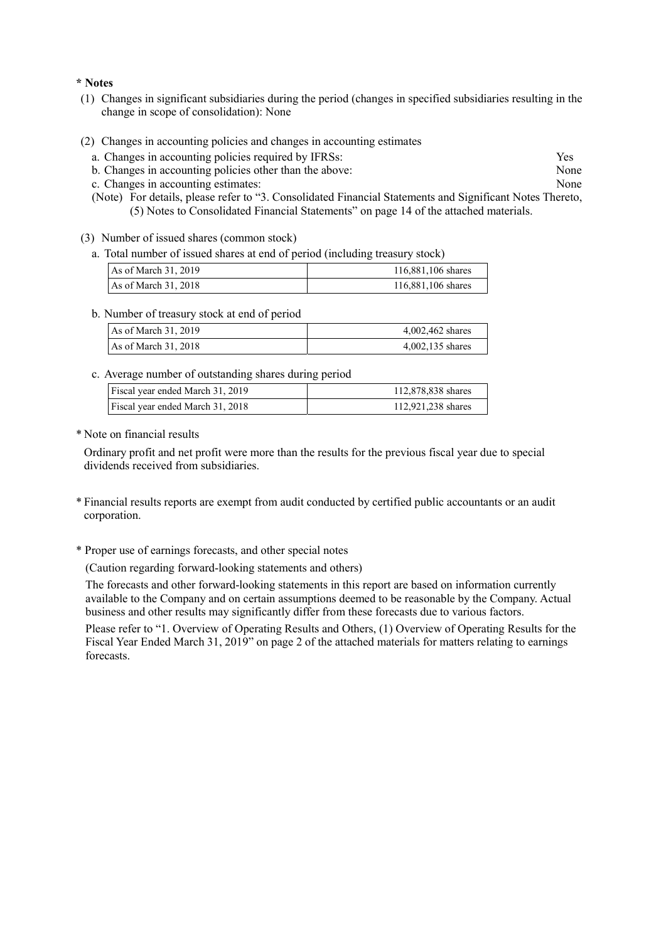#### **\* Notes**

- (1) Changes in significant subsidiaries during the period (changes in specified subsidiaries resulting in the change in scope of consolidation): None
- (2) Changes in accounting policies and changes in accounting estimates
	- a. Changes in accounting policies required by IFRSs: Yes
	- b. Changes in accounting policies other than the above: None
	- c. Changes in accounting estimates: None
	- (Note) For details, please refer to "3. Consolidated Financial Statements and Significant Notes Thereto, (5) Notes to Consolidated Financial Statements" on page 14 of the attached materials.
- (3) Number of issued shares (common stock)
	- a. Total number of issued shares at end of period (including treasury stock)

| As of March $31, 2019$ | 116,881,106 shares |
|------------------------|--------------------|
| As of March $31, 2018$ | 116,881,106 shares |

b. Number of treasury stock at end of period

| As of March 31, 2019   | 4,002,462 shares |
|------------------------|------------------|
| As of March $31, 2018$ | 4,002,135 shares |

c. Average number of outstanding shares during period

| Fiscal year ended March 31, 2019 | 112,878,838 shares |
|----------------------------------|--------------------|
| Fiscal year ended March 31, 2018 | 112,921,238 shares |

\* Note on financial results

Ordinary profit and net profit were more than the results for the previous fiscal year due to special dividends received from subsidiaries.

- \* Financial results reports are exempt from audit conducted by certified public accountants or an audit corporation.
- \* Proper use of earnings forecasts, and other special notes
	- (Caution regarding forward-looking statements and others)

The forecasts and other forward-looking statements in this report are based on information currently available to the Company and on certain assumptions deemed to be reasonable by the Company. Actual business and other results may significantly differ from these forecasts due to various factors.

Please refer to "1. Overview of Operating Results and Others, (1) Overview of Operating Results for the Fiscal Year Ended March 31, 2019" on page 2 of the attached materials for matters relating to earnings forecasts.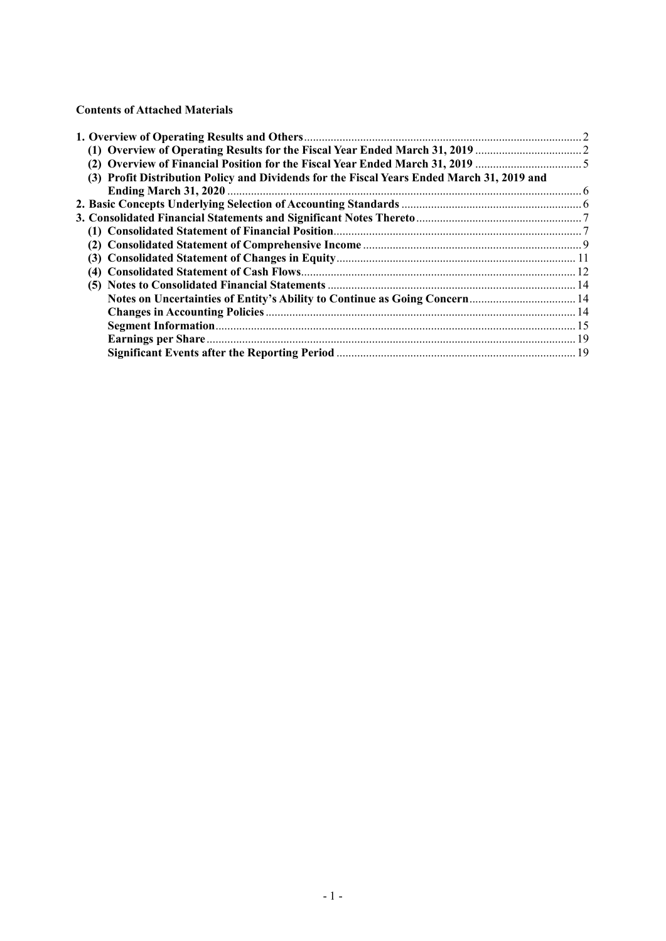# **Contents of Attached Materials**

| (2) Overview of Financial Position for the Fiscal Year Ended March 31, 2019                |  |
|--------------------------------------------------------------------------------------------|--|
| (3) Profit Distribution Policy and Dividends for the Fiscal Years Ended March 31, 2019 and |  |
|                                                                                            |  |
|                                                                                            |  |
|                                                                                            |  |
|                                                                                            |  |
|                                                                                            |  |
|                                                                                            |  |
|                                                                                            |  |
|                                                                                            |  |
| Notes on Uncertainties of Entity's Ability to Continue as Going Concern 14                 |  |
|                                                                                            |  |
|                                                                                            |  |
|                                                                                            |  |
|                                                                                            |  |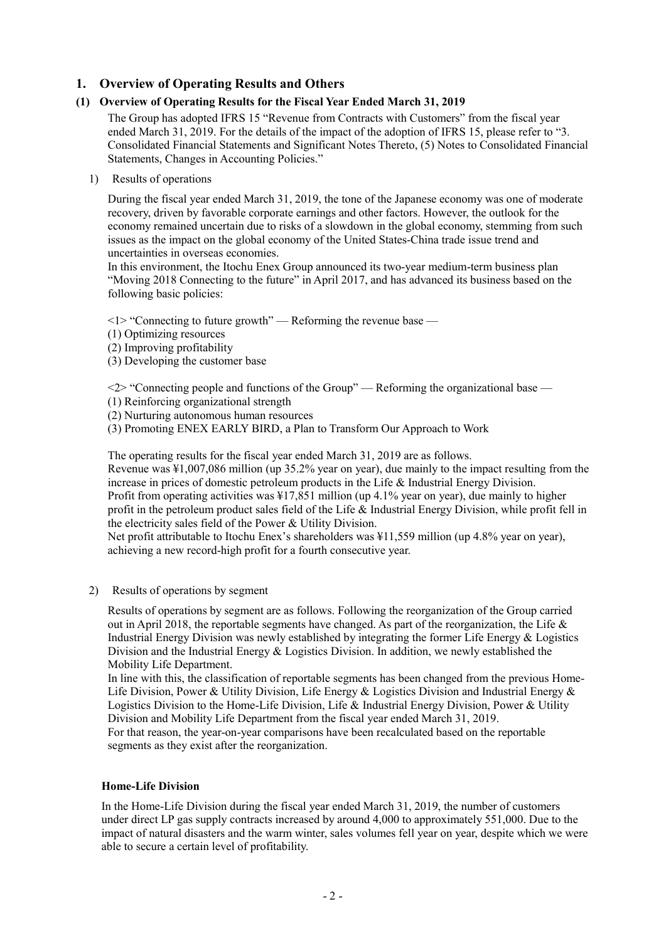# **1. Overview of Operating Results and Others**

# **(1) Overview of Operating Results for the Fiscal Year Ended March 31, 2019**

The Group has adopted IFRS 15 "Revenue from Contracts with Customers" from the fiscal year ended March 31, 2019. For the details of the impact of the adoption of IFRS 15, please refer to "3. Consolidated Financial Statements and Significant Notes Thereto, (5) Notes to Consolidated Financial Statements, Changes in Accounting Policies."

1) Results of operations

During the fiscal year ended March 31, 2019, the tone of the Japanese economy was one of moderate recovery, driven by favorable corporate earnings and other factors. However, the outlook for the economy remained uncertain due to risks of a slowdown in the global economy, stemming from such issues as the impact on the global economy of the United States-China trade issue trend and uncertainties in overseas economies.

In this environment, the Itochu Enex Group announced its two-year medium-term business plan "Moving 2018 Connecting to the future" in April 2017, and has advanced its business based on the following basic policies:

<1> "Connecting to future growth" — Reforming the revenue base —

- (1) Optimizing resources
- (2) Improving profitability
- (3) Developing the customer base

 $\langle 2 \rangle$  "Connecting people and functions of the Group" — Reforming the organizational base —

- (1) Reinforcing organizational strength
- (2) Nurturing autonomous human resources
- (3) Promoting ENEX EARLY BIRD, a Plan to Transform Our Approach to Work

The operating results for the fiscal year ended March 31, 2019 are as follows.

Revenue was ¥1,007,086 million (up 35.2% year on year), due mainly to the impact resulting from the increase in prices of domestic petroleum products in the Life & Industrial Energy Division. Profit from operating activities was ¥17,851 million (up 4.1% year on year), due mainly to higher profit in the petroleum product sales field of the Life & Industrial Energy Division, while profit fell in the electricity sales field of the Power & Utility Division.

Net profit attributable to Itochu Enex's shareholders was ¥11,559 million (up 4.8% year on year), achieving a new record-high profit for a fourth consecutive year.

2) Results of operations by segment

Results of operations by segment are as follows. Following the reorganization of the Group carried out in April 2018, the reportable segments have changed. As part of the reorganization, the Life  $\&$ Industrial Energy Division was newly established by integrating the former Life Energy & Logistics Division and the Industrial Energy & Logistics Division. In addition, we newly established the Mobility Life Department.

In line with this, the classification of reportable segments has been changed from the previous Home-Life Division, Power & Utility Division, Life Energy & Logistics Division and Industrial Energy & Logistics Division to the Home-Life Division, Life & Industrial Energy Division, Power & Utility Division and Mobility Life Department from the fiscal year ended March 31, 2019.

For that reason, the year-on-year comparisons have been recalculated based on the reportable segments as they exist after the reorganization.

# **Home-Life Division**

In the Home-Life Division during the fiscal year ended March 31, 2019, the number of customers under direct LP gas supply contracts increased by around 4,000 to approximately 551,000. Due to the impact of natural disasters and the warm winter, sales volumes fell year on year, despite which we were able to secure a certain level of profitability.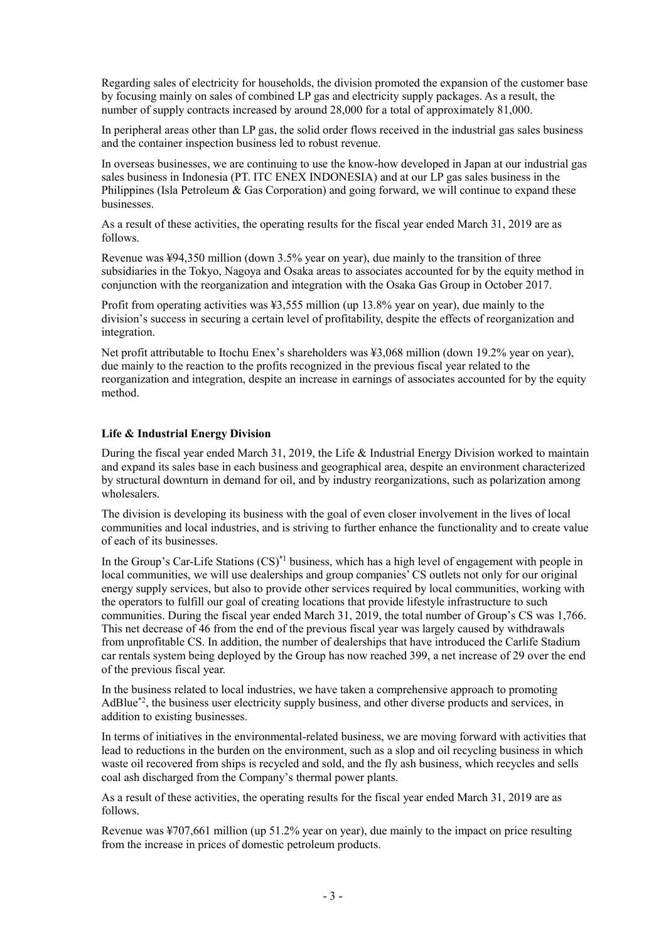Regarding sales of electricity for households, the division promoted the expansion of the customer base by focusing mainly on sales of combined LP gas and electricity supply packages. As a result, the number of supply contracts increased by around 28,000 for a total of approximately 81,000.

In peripheral areas other than LP gas, the solid order flows received in the industrial gas sales business and the container inspection business led to robust revenue.

In overseas businesses, we are continuing to use the know-how developed in Japan at our industrial gas sales business in Indonesia (PT. ITC ENEX INDONESIA) and at our LP gas sales business in the Philippines (Isla Petroleum  $\&$  Gas Corporation) and going forward, we will continue to expand these businesses.

As a result of these activities, the operating results for the fiscal year ended March 31, 2019 are as follows.

Revenue was ¥94,350 million (down 3.5% year on year), due mainly to the transition of three subsidiaries in the Tokyo, Nagoya and Osaka areas to associates accounted for by the equity method in conjunction with the reorganization and integration with the Osaka Gas Group in October 2017.

Profit from operating activities was ¥3,555 million (up 13.8% year on year), due mainly to the division's success in securing a certain level of profitability, despite the effects of reorganization and integration.

Net profit attributable to Itochu Enex's shareholders was ¥3,068 million (down 19.2% year on year), due mainly to the reaction to the profits recognized in the previous fiscal year related to the reorganization and integration, despite an increase in earnings of associates accounted for by the equity method.

#### **Life & Industrial Energy Division**

During the fiscal year ended March 31, 2019, the Life & Industrial Energy Division worked to maintain and expand its sales base in each business and geographical area, despite an environment characterized by structural downturn in demand for oil, and by industry reorganizations, such as polarization among wholesalers.

The division is developing its business with the goal of even closer involvement in the lives of local communities and local industries, and is striving to further enhance the functionality and to create value of each of its businesses.

In the Group's Car-Life Stations  $(CS)^*$ <sup>1</sup> business, which has a high level of engagement with people in local communities, we will use dealerships and group companies' CS outlets not only for our original energy supply services, but also to provide other services required by local communities, working with the operators to fulfill our goal of creating locations that provide lifestyle infrastructure to such communities. During the fiscal year ended March 31, 2019, the total number of Group's CS was 1,766. This net decrease of 46 from the end of the previous fiscal year was largely caused by withdrawals from unprofitable CS. In addition, the number of dealerships that have introduced the Carlife Stadium car rentals system being deployed by the Group has now reached 399, a net increase of 29 over the end of the previous fiscal year.

In the business related to local industries, we have taken a comprehensive approach to promoting AdBlue\*2, the business user electricity supply business, and other diverse products and services, in addition to existing businesses.

In terms of initiatives in the environmental-related business, we are moving forward with activities that lead to reductions in the burden on the environment, such as a slop and oil recycling business in which waste oil recovered from ships is recycled and sold, and the fly ash business, which recycles and sells coal ash discharged from the Company's thermal power plants.

As a result of these activities, the operating results for the fiscal year ended March 31, 2019 are as follows.

Revenue was ¥707,661 million (up 51.2% year on year), due mainly to the impact on price resulting from the increase in prices of domestic petroleum products.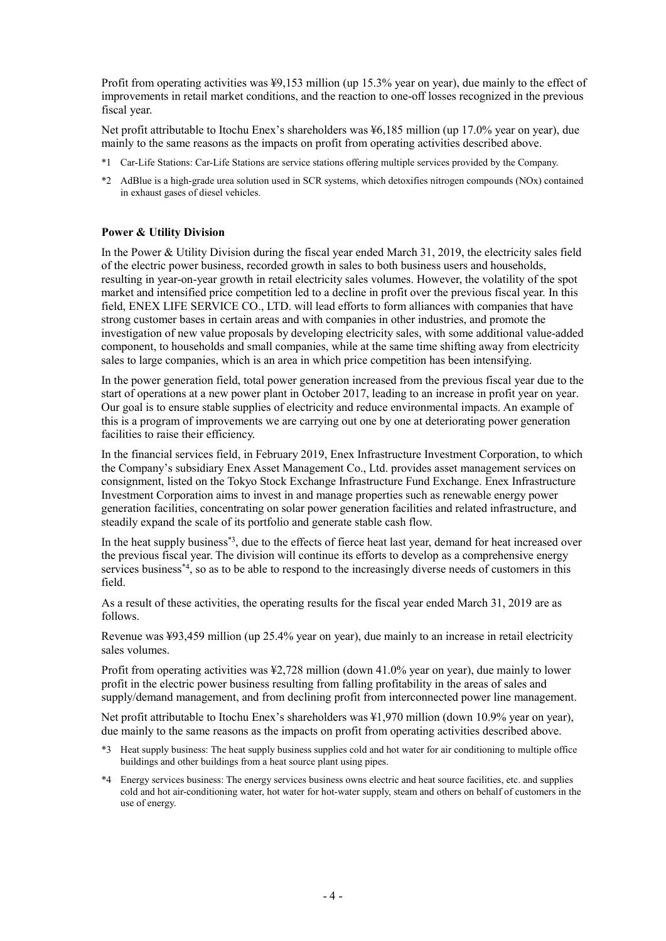Profit from operating activities was ¥9,153 million (up 15.3% year on year), due mainly to the effect of improvements in retail market conditions, and the reaction to one-off losses recognized in the previous fiscal year.

Net profit attributable to Itochu Enex's shareholders was ¥6,185 million (up 17.0% year on year), due mainly to the same reasons as the impacts on profit from operating activities described above.

- \*1 Car-Life Stations: Car-Life Stations are service stations offering multiple services provided by the Company.
- \*2 AdBlue is a high-grade urea solution used in SCR systems, which detoxifies nitrogen compounds (NOx) contained in exhaust gases of diesel vehicles.

#### **Power & Utility Division**

In the Power & Utility Division during the fiscal year ended March 31, 2019, the electricity sales field of the electric power business, recorded growth in sales to both business users and households, resulting in year-on-year growth in retail electricity sales volumes. However, the volatility of the spot market and intensified price competition led to a decline in profit over the previous fiscal year. In this field, ENEX LIFE SERVICE CO., LTD. will lead efforts to form alliances with companies that have strong customer bases in certain areas and with companies in other industries, and promote the investigation of new value proposals by developing electricity sales, with some additional value-added component, to households and small companies, while at the same time shifting away from electricity sales to large companies, which is an area in which price competition has been intensifying.

In the power generation field, total power generation increased from the previous fiscal year due to the start of operations at a new power plant in October 2017, leading to an increase in profit year on year. Our goal is to ensure stable supplies of electricity and reduce environmental impacts. An example of this is a program of improvements we are carrying out one by one at deteriorating power generation facilities to raise their efficiency.

In the financial services field, in February 2019, Enex Infrastructure Investment Corporation, to which the Company's subsidiary Enex Asset Management Co., Ltd. provides asset management services on consignment, listed on the Tokyo Stock Exchange Infrastructure Fund Exchange. Enex Infrastructure Investment Corporation aims to invest in and manage properties such as renewable energy power generation facilities, concentrating on solar power generation facilities and related infrastructure, and steadily expand the scale of its portfolio and generate stable cash flow.

In the heat supply business\*3, due to the effects of fierce heat last year, demand for heat increased over the previous fiscal year. The division will continue its efforts to develop as a comprehensive energy services business<sup>\*4</sup>, so as to be able to respond to the increasingly diverse needs of customers in this field.

As a result of these activities, the operating results for the fiscal year ended March 31, 2019 are as follows.

Revenue was ¥93,459 million (up 25.4% year on year), due mainly to an increase in retail electricity sales volumes.

Profit from operating activities was ¥2,728 million (down 41.0% year on year), due mainly to lower profit in the electric power business resulting from falling profitability in the areas of sales and supply/demand management, and from declining profit from interconnected power line management.

Net profit attributable to Itochu Enex's shareholders was  $\frac{1970}{100}$  million (down 10.9% year on year), due mainly to the same reasons as the impacts on profit from operating activities described above.

- \*3 Heat supply business: The heat supply business supplies cold and hot water for air conditioning to multiple office buildings and other buildings from a heat source plant using pipes.
- \*4 Energy services business: The energy services business owns electric and heat source facilities, etc. and supplies cold and hot air-conditioning water, hot water for hot-water supply, steam and others on behalf of customers in the use of energy.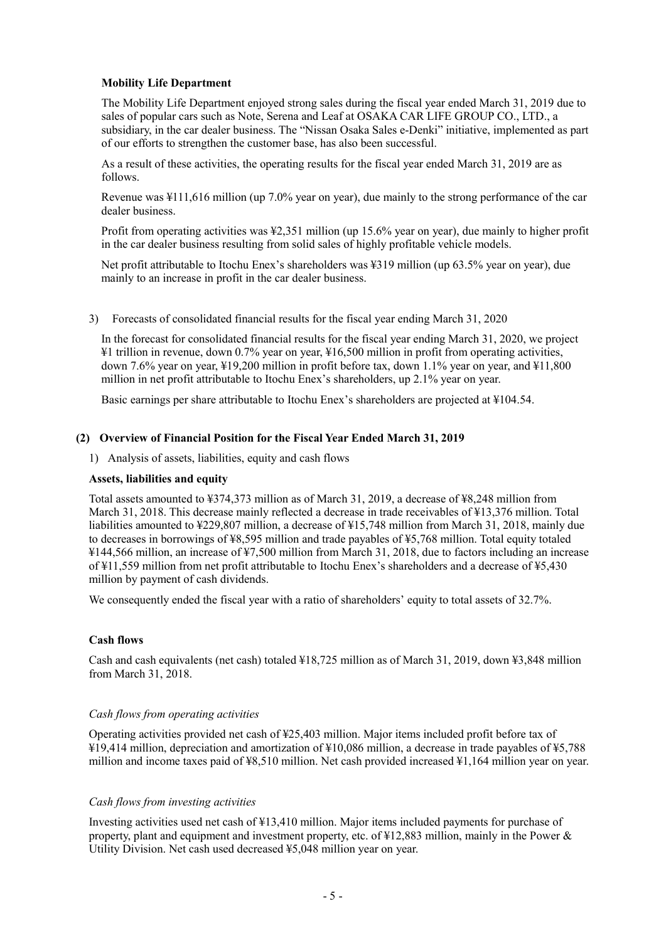# **Mobility Life Department**

The Mobility Life Department enjoyed strong sales during the fiscal year ended March 31, 2019 due to sales of popular cars such as Note, Serena and Leaf at OSAKA CAR LIFE GROUP CO., LTD., a subsidiary, in the car dealer business. The "Nissan Osaka Sales e-Denki" initiative, implemented as part of our efforts to strengthen the customer base, has also been successful.

As a result of these activities, the operating results for the fiscal year ended March 31, 2019 are as follows.

Revenue was ¥111,616 million (up 7.0% year on year), due mainly to the strong performance of the car dealer business.

Profit from operating activities was ¥2,351 million (up 15.6% year on year), due mainly to higher profit in the car dealer business resulting from solid sales of highly profitable vehicle models.

Net profit attributable to Itochu Enex's shareholders was ¥319 million (up 63.5% year on year), due mainly to an increase in profit in the car dealer business.

3) Forecasts of consolidated financial results for the fiscal year ending March 31, 2020

In the forecast for consolidated financial results for the fiscal year ending March 31, 2020, we project ¥1 trillion in revenue, down 0.7% year on year, ¥16,500 million in profit from operating activities, down 7.6% year on year, ¥19,200 million in profit before tax, down 1.1% year on year, and ¥11,800 million in net profit attributable to Itochu Enex's shareholders, up 2.1% year on year.

Basic earnings per share attributable to Itochu Enex's shareholders are projected at ¥104.54.

#### **(2) Overview of Financial Position for the Fiscal Year Ended March 31, 2019**

1) Analysis of assets, liabilities, equity and cash flows

#### **Assets, liabilities and equity**

Total assets amounted to ¥374,373 million as of March 31, 2019, a decrease of ¥8,248 million from March 31, 2018. This decrease mainly reflected a decrease in trade receivables of ¥13,376 million. Total liabilities amounted to ¥229,807 million, a decrease of ¥15,748 million from March 31, 2018, mainly due to decreases in borrowings of ¥8,595 million and trade payables of ¥5,768 million. Total equity totaled ¥144,566 million, an increase of ¥7,500 million from March 31, 2018, due to factors including an increase of ¥11,559 million from net profit attributable to Itochu Enex's shareholders and a decrease of ¥5,430 million by payment of cash dividends.

We consequently ended the fiscal year with a ratio of shareholders' equity to total assets of 32.7%.

#### **Cash flows**

Cash and cash equivalents (net cash) totaled ¥18,725 million as of March 31, 2019, down ¥3,848 million from March 31, 2018.

#### *Cash flows from operating activities*

Operating activities provided net cash of ¥25,403 million. Major items included profit before tax of ¥19,414 million, depreciation and amortization of ¥10,086 million, a decrease in trade payables of ¥5,788 million and income taxes paid of  $\frac{1}{28}$ ,510 million. Net cash provided increased  $\frac{1}{2}$ ,164 million year on year.

#### *Cash flows from investing activities*

Investing activities used net cash of ¥13,410 million. Major items included payments for purchase of property, plant and equipment and investment property, etc. of ¥12,883 million, mainly in the Power & Utility Division. Net cash used decreased ¥5,048 million year on year.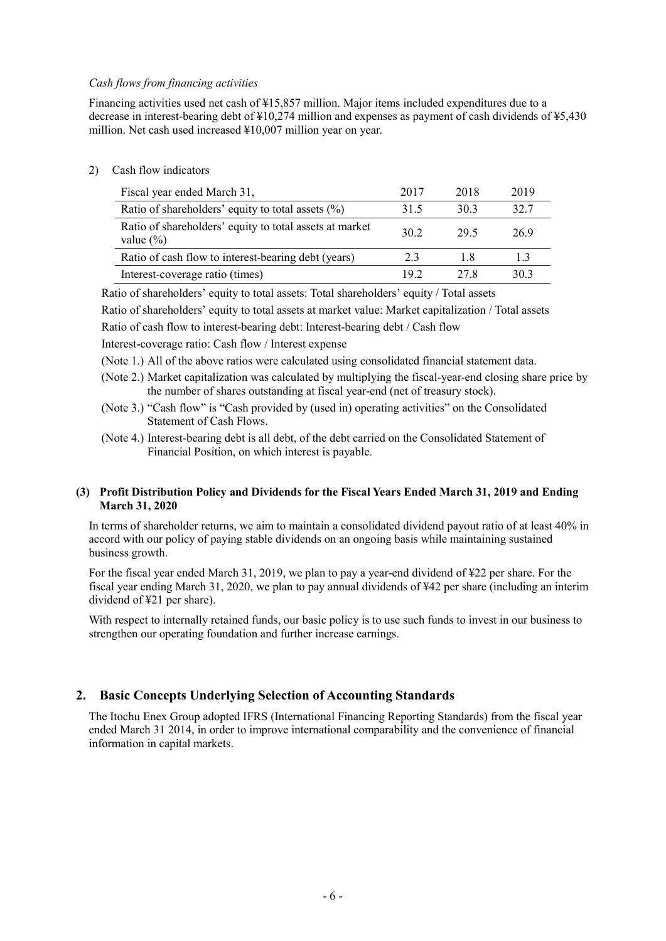### *Cash flows from financing activities*

Financing activities used net cash of ¥15,857 million. Major items included expenditures due to a decrease in interest-bearing debt of ¥10,274 million and expenses as payment of cash dividends of ¥5,430 million. Net cash used increased ¥10,007 million year on year.

2) Cash flow indicators

| Fiscal year ended March 31,                                              | 2017 | 2018 | 2019 |
|--------------------------------------------------------------------------|------|------|------|
| Ratio of shareholders' equity to total assets $(\% )$                    | 31.5 | 30.3 | 32.7 |
| Ratio of shareholders' equity to total assets at market<br>value $(\% )$ | 30.2 | 29.5 | 26.9 |
| Ratio of cash flow to interest-bearing debt (years)                      | 2.3  | 1.8  | 1.3  |
| Interest-coverage ratio (times)                                          | 192  | 27 R | 30.3 |

Ratio of shareholders' equity to total assets: Total shareholders' equity / Total assets

Ratio of shareholders' equity to total assets at market value: Market capitalization / Total assets Ratio of cash flow to interest-bearing debt: Interest-bearing debt / Cash flow

Interest-coverage ratio: Cash flow / Interest expense

(Note 1.) All of the above ratios were calculated using consolidated financial statement data.

- (Note 2.) Market capitalization was calculated by multiplying the fiscal-year-end closing share price by the number of shares outstanding at fiscal year-end (net of treasury stock).
- (Note 3.) "Cash flow" is "Cash provided by (used in) operating activities" on the Consolidated Statement of Cash Flows.
- (Note 4.) Interest-bearing debt is all debt, of the debt carried on the Consolidated Statement of Financial Position, on which interest is payable.

#### **(3) Profit Distribution Policy and Dividends for the Fiscal Years Ended March 31, 2019 and Ending March 31, 2020**

In terms of shareholder returns, we aim to maintain a consolidated dividend payout ratio of at least 40% in accord with our policy of paying stable dividends on an ongoing basis while maintaining sustained business growth.

For the fiscal year ended March 31, 2019, we plan to pay a year-end dividend of ¥22 per share. For the fiscal year ending March 31, 2020, we plan to pay annual dividends of ¥42 per share (including an interim dividend of ¥21 per share).

With respect to internally retained funds, our basic policy is to use such funds to invest in our business to strengthen our operating foundation and further increase earnings.

# **2. Basic Concepts Underlying Selection of Accounting Standards**

The Itochu Enex Group adopted IFRS (International Financing Reporting Standards) from the fiscal year ended March 31 2014, in order to improve international comparability and the convenience of financial information in capital markets.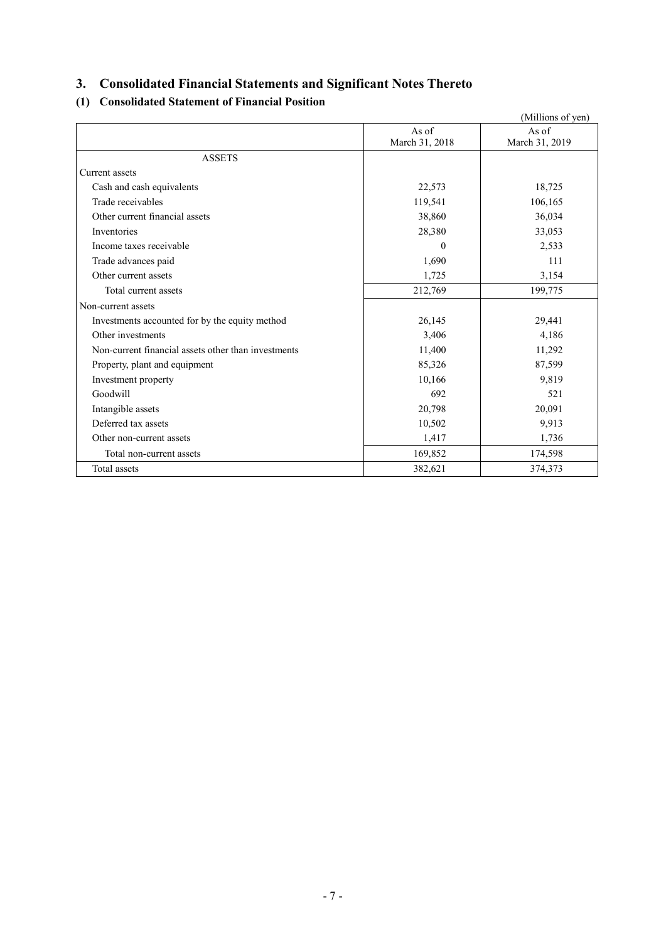# **3. Consolidated Financial Statements and Significant Notes Thereto**

# **(1) Consolidated Statement of Financial Position**

|                                                     |                | (Millions of yen) |
|-----------------------------------------------------|----------------|-------------------|
|                                                     | As of          | As of             |
|                                                     | March 31, 2018 | March 31, 2019    |
| <b>ASSETS</b>                                       |                |                   |
| Current assets                                      |                |                   |
| Cash and cash equivalents                           | 22,573         | 18,725            |
| Trade receivables                                   | 119,541        | 106,165           |
| Other current financial assets                      | 38,860         | 36,034            |
| Inventories                                         | 28,380         | 33,053            |
| Income taxes receivable                             | $\theta$       | 2,533             |
| Trade advances paid                                 | 1,690          | 111               |
| Other current assets                                | 1,725          | 3,154             |
| Total current assets                                | 212,769        | 199,775           |
| Non-current assets                                  |                |                   |
| Investments accounted for by the equity method      | 26,145         | 29,441            |
| Other investments                                   | 3,406          | 4,186             |
| Non-current financial assets other than investments | 11,400         | 11,292            |
| Property, plant and equipment                       | 85,326         | 87,599            |
| Investment property                                 | 10,166         | 9,819             |
| Goodwill                                            | 692            | 521               |
| Intangible assets                                   | 20,798         | 20,091            |
| Deferred tax assets                                 | 10,502         | 9,913             |
| Other non-current assets                            | 1,417          | 1,736             |
| Total non-current assets                            | 169,852        | 174,598           |
| Total assets                                        | 382,621        | 374,373           |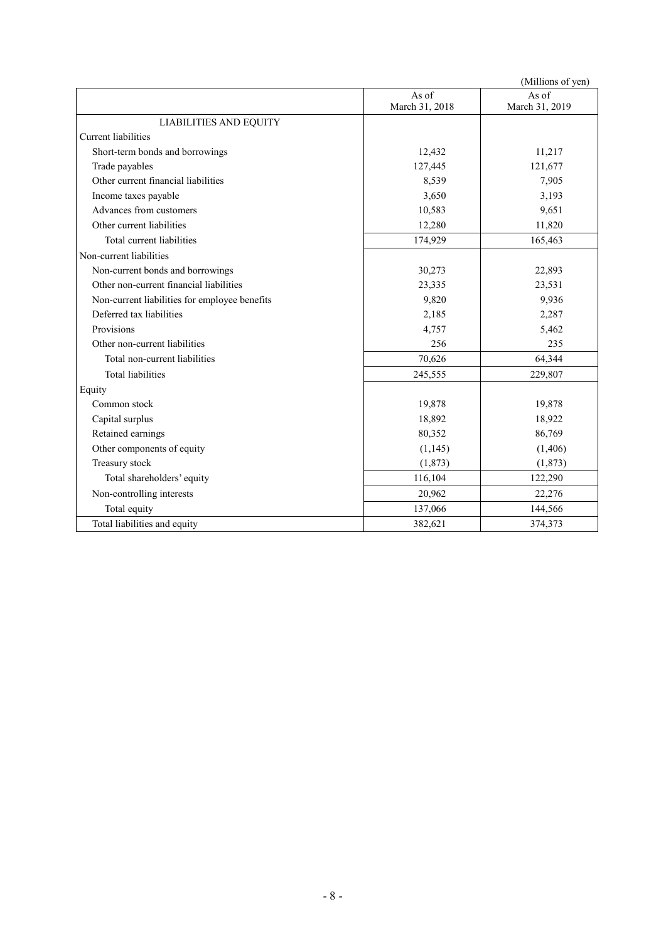|                                               |                | (Millions of yen) |
|-----------------------------------------------|----------------|-------------------|
|                                               | As of          | As of             |
|                                               | March 31, 2018 | March 31, 2019    |
| <b>LIABILITIES AND EQUITY</b>                 |                |                   |
| Current liabilities                           |                |                   |
| Short-term bonds and borrowings               | 12,432         | 11,217            |
| Trade payables                                | 127,445        | 121,677           |
| Other current financial liabilities           | 8,539          | 7,905             |
| Income taxes payable                          | 3,650          | 3,193             |
| Advances from customers                       | 10,583         | 9,651             |
| Other current liabilities                     | 12,280         | 11,820            |
| Total current liabilities                     | 174,929        | 165,463           |
| Non-current liabilities                       |                |                   |
| Non-current bonds and borrowings              | 30,273         | 22,893            |
| Other non-current financial liabilities       | 23,335         | 23,531            |
| Non-current liabilities for employee benefits | 9,820          | 9,936             |
| Deferred tax liabilities                      | 2,185          | 2,287             |
| Provisions                                    | 4,757          | 5,462             |
| Other non-current liabilities                 | 256            | 235               |
| Total non-current liabilities                 | 70,626         | 64,344            |
| <b>Total liabilities</b>                      | 245,555        | 229,807           |
| Equity                                        |                |                   |
| Common stock                                  | 19,878         | 19,878            |
| Capital surplus                               | 18,892         | 18,922            |
| Retained earnings                             | 80,352         | 86,769            |
| Other components of equity                    | (1, 145)       | (1,406)           |
| Treasury stock                                | (1, 873)       | (1,873)           |
| Total shareholders' equity                    | 116,104        | 122,290           |
| Non-controlling interests                     | 20,962         | 22,276            |
| Total equity                                  | 137,066        | 144,566           |
| Total liabilities and equity                  | 382,621        | 374,373           |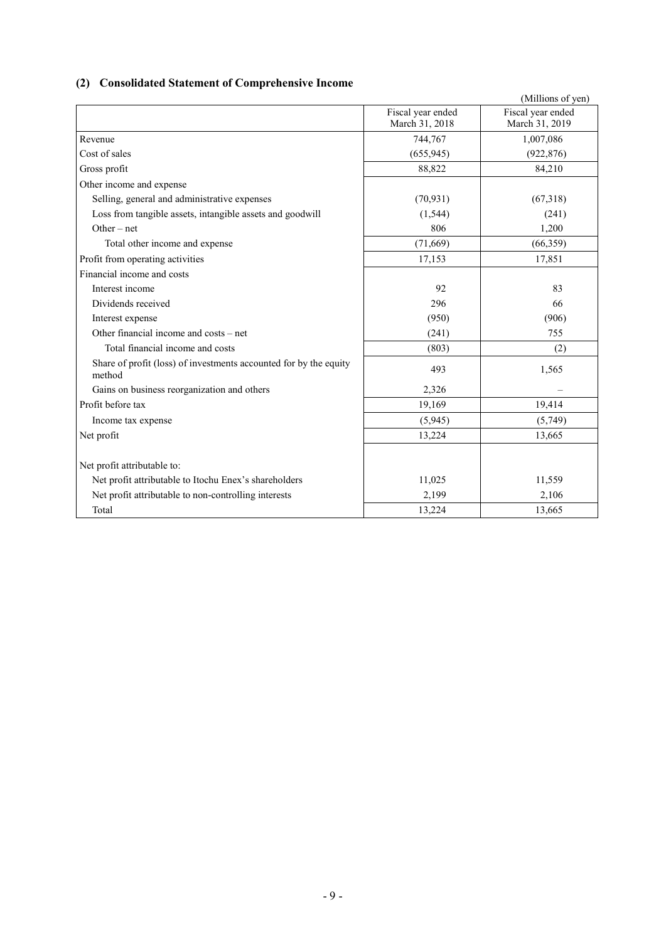# **(2) Consolidated Statement of Comprehensive Income**

|                                                                             |                                     | (Millions of yen)                   |
|-----------------------------------------------------------------------------|-------------------------------------|-------------------------------------|
|                                                                             | Fiscal year ended<br>March 31, 2018 | Fiscal year ended<br>March 31, 2019 |
| Revenue                                                                     | 744,767                             | 1,007,086                           |
| Cost of sales                                                               | (655, 945)                          | (922, 876)                          |
| Gross profit                                                                | 88,822                              | 84,210                              |
| Other income and expense                                                    |                                     |                                     |
| Selling, general and administrative expenses                                | (70, 931)                           | (67,318)                            |
| Loss from tangible assets, intangible assets and goodwill                   | (1, 544)                            | (241)                               |
| Other $-$ net                                                               | 806                                 | 1,200                               |
| Total other income and expense                                              | (71,669)                            | (66,359)                            |
| Profit from operating activities                                            | 17,153                              | 17,851                              |
| Financial income and costs                                                  |                                     |                                     |
| Interest income                                                             | 92                                  | 83                                  |
| Dividends received                                                          | 296                                 | 66                                  |
| Interest expense                                                            | (950)                               | (906)                               |
| Other financial income and costs – net                                      | (241)                               | 755                                 |
| Total financial income and costs                                            | (803)                               | (2)                                 |
| Share of profit (loss) of investments accounted for by the equity<br>method | 493                                 | 1,565                               |
| Gains on business reorganization and others                                 | 2,326                               |                                     |
| Profit before tax                                                           | 19,169                              | 19,414                              |
| Income tax expense                                                          | (5,945)                             | (5,749)                             |
| Net profit                                                                  | 13,224                              | 13,665                              |
| Net profit attributable to:                                                 |                                     |                                     |
| Net profit attributable to Itochu Enex's shareholders                       | 11,025                              | 11,559                              |
| Net profit attributable to non-controlling interests                        | 2,199                               | 2,106                               |
| Total                                                                       | 13,224                              | 13,665                              |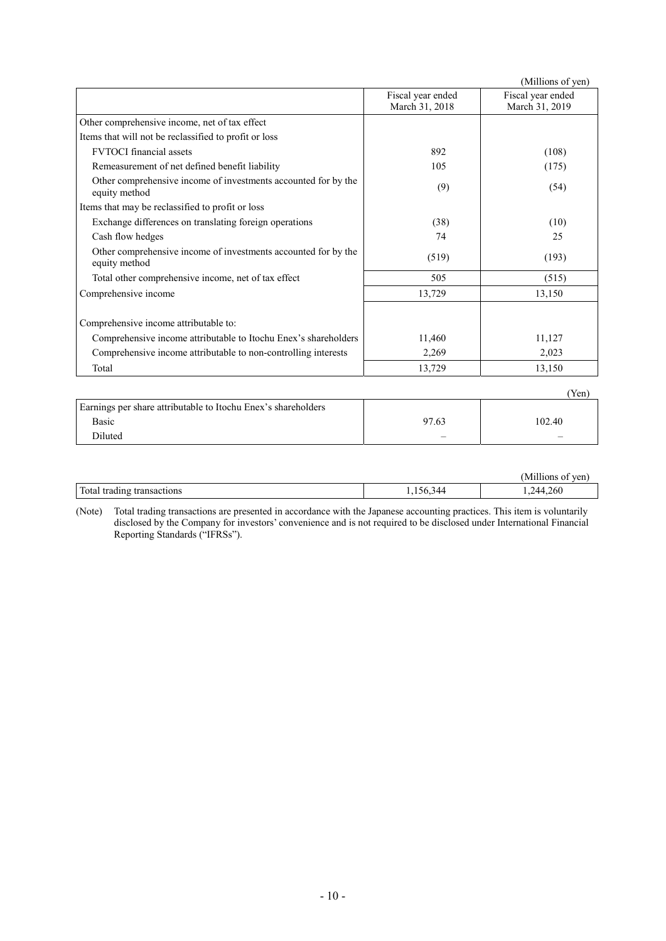|                                                                                 |                                     | (Millions of yen)                   |
|---------------------------------------------------------------------------------|-------------------------------------|-------------------------------------|
|                                                                                 | Fiscal year ended<br>March 31, 2018 | Fiscal year ended<br>March 31, 2019 |
| Other comprehensive income, net of tax effect                                   |                                     |                                     |
| Items that will not be reclassified to profit or loss                           |                                     |                                     |
| <b>FVTOCI</b> financial assets                                                  | 892                                 | (108)                               |
| Remeasurement of net defined benefit liability                                  | 105                                 | (175)                               |
| Other comprehensive income of investments accounted for by the<br>equity method | (9)                                 | (54)                                |
| Items that may be reclassified to profit or loss                                |                                     |                                     |
| Exchange differences on translating foreign operations                          | (38)                                | (10)                                |
| Cash flow hedges                                                                | 74                                  | 25                                  |
| Other comprehensive income of investments accounted for by the<br>equity method | (519)                               | (193)                               |
| Total other comprehensive income, net of tax effect                             | 505                                 | (515)                               |
| Comprehensive income                                                            | 13,729                              | 13,150                              |
| Comprehensive income attributable to:                                           |                                     |                                     |
| Comprehensive income attributable to Itochu Enex's shareholders                 | 11,460                              | 11,127                              |
| Comprehensive income attributable to non-controlling interests                  | 2,269                               | 2,023                               |
| Total                                                                           | 13,729                              | 13,150                              |
|                                                                                 |                                     | (Yen)                               |
| Earnings per share attributable to Itochu Enex's shareholders                   |                                     |                                     |

| Earnings per share attributable to Itochu Enex's shareholders |       |        |
|---------------------------------------------------------------|-------|--------|
| Basic                                                         | 97.63 | 102.40 |
| <b>Diluted</b>                                                |       |        |
|                                                               |       |        |

|                        |                      | ----<br>n.<br>$T\Delta V$<br>′Ch |
|------------------------|----------------------|----------------------------------|
| Total tradi.<br>tradin | $\sim$ $\sim$ $\sim$ | .244.260                         |

(Note) Total trading transactions are presented in accordance with the Japanese accounting practices. This item is voluntarily disclosed by the Company for investors' convenience and is not required to be disclosed under International Financial Reporting Standards ("IFRSs").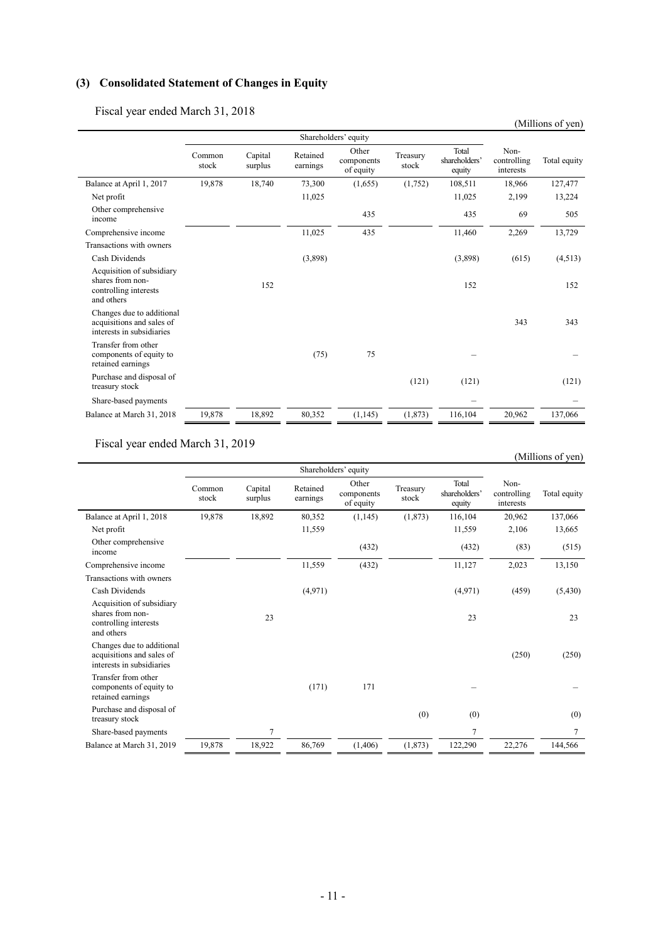# **(3) Consolidated Statement of Changes in Equity**

Fiscal year ended March 31, 2018

|                                                                                      |                 |                    |                      |                                  |                   |                                  |                                  | (Millions of yen) |
|--------------------------------------------------------------------------------------|-----------------|--------------------|----------------------|----------------------------------|-------------------|----------------------------------|----------------------------------|-------------------|
|                                                                                      |                 |                    |                      | Shareholders' equity             |                   |                                  |                                  |                   |
|                                                                                      | Common<br>stock | Capital<br>surplus | Retained<br>earnings | Other<br>components<br>of equity | Treasury<br>stock | Total<br>shareholders'<br>equity | Non-<br>controlling<br>interests | Total equity      |
| Balance at April 1, 2017                                                             | 19,878          | 18,740             | 73,300               | (1,655)                          | (1,752)           | 108,511                          | 18,966                           | 127,477           |
| Net profit                                                                           |                 |                    | 11,025               |                                  |                   | 11,025                           | 2,199                            | 13,224            |
| Other comprehensive<br>income                                                        |                 |                    |                      | 435                              |                   | 435                              | 69                               | 505               |
| Comprehensive income                                                                 |                 |                    | 11,025               | 435                              |                   | 11,460                           | 2,269                            | 13,729            |
| Transactions with owners                                                             |                 |                    |                      |                                  |                   |                                  |                                  |                   |
| Cash Dividends                                                                       |                 |                    | (3,898)              |                                  |                   | (3,898)                          | (615)                            | (4,513)           |
| Acquisition of subsidiary<br>shares from non-<br>controlling interests<br>and others |                 | 152                |                      |                                  |                   | 152                              |                                  | 152               |
| Changes due to additional<br>acquisitions and sales of<br>interests in subsidiaries  |                 |                    |                      |                                  |                   |                                  | 343                              | 343               |
| Transfer from other<br>components of equity to<br>retained earnings                  |                 |                    | (75)                 | 75                               |                   |                                  |                                  |                   |
| Purchase and disposal of<br>treasury stock                                           |                 |                    |                      |                                  | (121)             | (121)                            |                                  | (121)             |
| Share-based payments                                                                 |                 |                    |                      |                                  |                   |                                  |                                  |                   |
| Balance at March 31, 2018                                                            | 19,878          | 18,892             | 80,352               | (1,145)                          | (1, 873)          | 116,104                          | 20,962                           | 137,066           |

Fiscal year ended March 31, 2019

|                                                                                      |                 |                    |                      |                                  |                   |                                  |                                  | (Millions of yen) |
|--------------------------------------------------------------------------------------|-----------------|--------------------|----------------------|----------------------------------|-------------------|----------------------------------|----------------------------------|-------------------|
|                                                                                      |                 |                    |                      | Shareholders' equity             |                   |                                  |                                  |                   |
|                                                                                      | Common<br>stock | Capital<br>surplus | Retained<br>earnings | Other<br>components<br>of equity | Treasury<br>stock | Total<br>shareholders'<br>equity | Non-<br>controlling<br>interests | Total equity      |
| Balance at April 1, 2018                                                             | 19,878          | 18,892             | 80,352               | (1, 145)                         | (1,873)           | 116,104                          | 20,962                           | 137,066           |
| Net profit                                                                           |                 |                    | 11,559               |                                  |                   | 11,559                           | 2,106                            | 13,665            |
| Other comprehensive<br>income                                                        |                 |                    |                      | (432)                            |                   | (432)                            | (83)                             | (515)             |
| Comprehensive income                                                                 |                 |                    | 11,559               | (432)                            |                   | 11,127                           | 2,023                            | 13,150            |
| Transactions with owners                                                             |                 |                    |                      |                                  |                   |                                  |                                  |                   |
| Cash Dividends                                                                       |                 |                    | (4,971)              |                                  |                   | (4,971)                          | (459)                            | (5,430)           |
| Acquisition of subsidiary<br>shares from non-<br>controlling interests<br>and others |                 | 23                 |                      |                                  |                   | 23                               |                                  | 23                |
| Changes due to additional<br>acquisitions and sales of<br>interests in subsidiaries  |                 |                    |                      |                                  |                   |                                  | (250)                            | (250)             |
| Transfer from other<br>components of equity to<br>retained earnings                  |                 |                    | (171)                | 171                              |                   |                                  |                                  |                   |
| Purchase and disposal of<br>treasury stock                                           |                 |                    |                      |                                  | (0)               | (0)                              |                                  | (0)               |
| Share-based payments                                                                 |                 | 7                  |                      |                                  |                   | 7                                |                                  | 7                 |
| Balance at March 31, 2019                                                            | 19,878          | 18,922             | 86,769               | (1,406)                          | (1, 873)          | 122,290                          | 22,276                           | 144,566           |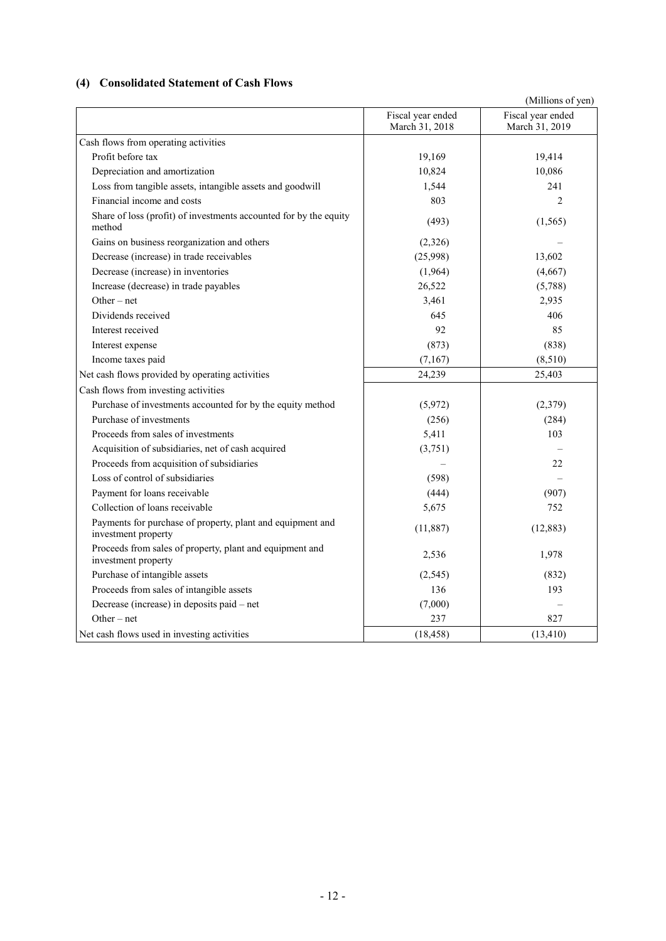# **(4) Consolidated Statement of Cash Flows**

|                                                                                   |                                     | (Millions of yen)                   |
|-----------------------------------------------------------------------------------|-------------------------------------|-------------------------------------|
|                                                                                   | Fiscal year ended<br>March 31, 2018 | Fiscal year ended<br>March 31, 2019 |
| Cash flows from operating activities                                              |                                     |                                     |
| Profit before tax                                                                 | 19,169                              | 19,414                              |
| Depreciation and amortization                                                     | 10,824                              | 10,086                              |
| Loss from tangible assets, intangible assets and goodwill                         | 1,544                               | 241                                 |
| Financial income and costs                                                        | 803                                 | 2                                   |
| Share of loss (profit) of investments accounted for by the equity<br>method       | (493)                               | (1, 565)                            |
| Gains on business reorganization and others                                       | (2,326)                             |                                     |
| Decrease (increase) in trade receivables                                          | (25,998)                            | 13,602                              |
| Decrease (increase) in inventories                                                | (1,964)                             | (4,667)                             |
| Increase (decrease) in trade payables                                             | 26,522                              | (5,788)                             |
| Other $-$ net                                                                     | 3,461                               | 2,935                               |
| Dividends received                                                                | 645                                 | 406                                 |
| Interest received                                                                 | 92                                  | 85                                  |
| Interest expense                                                                  | (873)                               | (838)                               |
| Income taxes paid                                                                 | (7,167)                             | (8,510)                             |
| Net cash flows provided by operating activities                                   | 24,239                              | 25,403                              |
| Cash flows from investing activities                                              |                                     |                                     |
| Purchase of investments accounted for by the equity method                        | (5,972)                             | (2,379)                             |
| Purchase of investments                                                           | (256)                               | (284)                               |
| Proceeds from sales of investments                                                | 5,411                               | 103                                 |
| Acquisition of subsidiaries, net of cash acquired                                 | (3,751)                             |                                     |
| Proceeds from acquisition of subsidiaries                                         |                                     | 22                                  |
| Loss of control of subsidiaries                                                   | (598)                               |                                     |
| Payment for loans receivable                                                      | (444)                               | (907)                               |
| Collection of loans receivable                                                    | 5,675                               | 752                                 |
| Payments for purchase of property, plant and equipment and<br>investment property | (11, 887)                           | (12, 883)                           |
| Proceeds from sales of property, plant and equipment and<br>investment property   | 2,536                               | 1,978                               |
| Purchase of intangible assets                                                     | (2,545)                             | (832)                               |
| Proceeds from sales of intangible assets                                          | 136                                 | 193                                 |
| Decrease (increase) in deposits paid - net                                        | (7,000)                             |                                     |
| Other $-$ net                                                                     | 237                                 | 827                                 |
| Net cash flows used in investing activities                                       | (18, 458)                           | (13, 410)                           |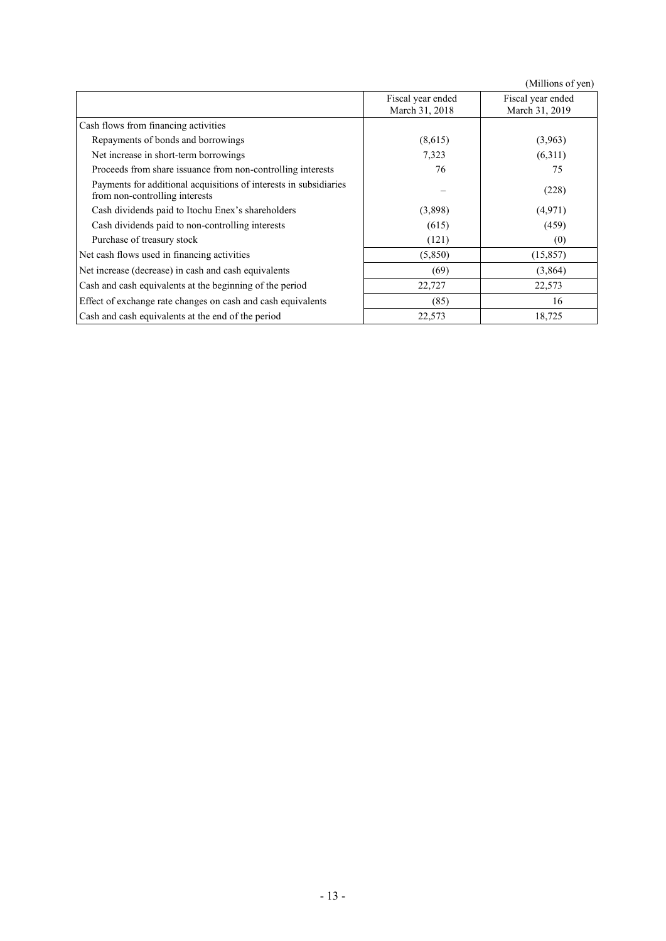|                                                                                                     |                                     | (Millions of yen)                   |
|-----------------------------------------------------------------------------------------------------|-------------------------------------|-------------------------------------|
|                                                                                                     | Fiscal year ended<br>March 31, 2018 | Fiscal year ended<br>March 31, 2019 |
| Cash flows from financing activities                                                                |                                     |                                     |
| Repayments of bonds and borrowings                                                                  | (8,615)                             | (3,963)                             |
| Net increase in short-term borrowings                                                               | 7,323                               | (6,311)                             |
| Proceeds from share issuance from non-controlling interests                                         | 76                                  | 75                                  |
| Payments for additional acquisitions of interests in subsidiaries<br>from non-controlling interests |                                     | (228)                               |
| Cash dividends paid to Itochu Enex's shareholders                                                   | (3,898)                             | (4,971)                             |
| Cash dividends paid to non-controlling interests                                                    | (615)                               | (459)                               |
| Purchase of treasury stock                                                                          | (121)                               | (0)                                 |
| Net cash flows used in financing activities                                                         | (5,850)                             | (15, 857)                           |
| Net increase (decrease) in cash and cash equivalents                                                | (69)                                | (3,864)                             |
| Cash and cash equivalents at the beginning of the period                                            | 22,727                              | 22,573                              |
| Effect of exchange rate changes on cash and cash equivalents                                        | (85)                                | 16                                  |
| Cash and cash equivalents at the end of the period                                                  | 22,573                              | 18,725                              |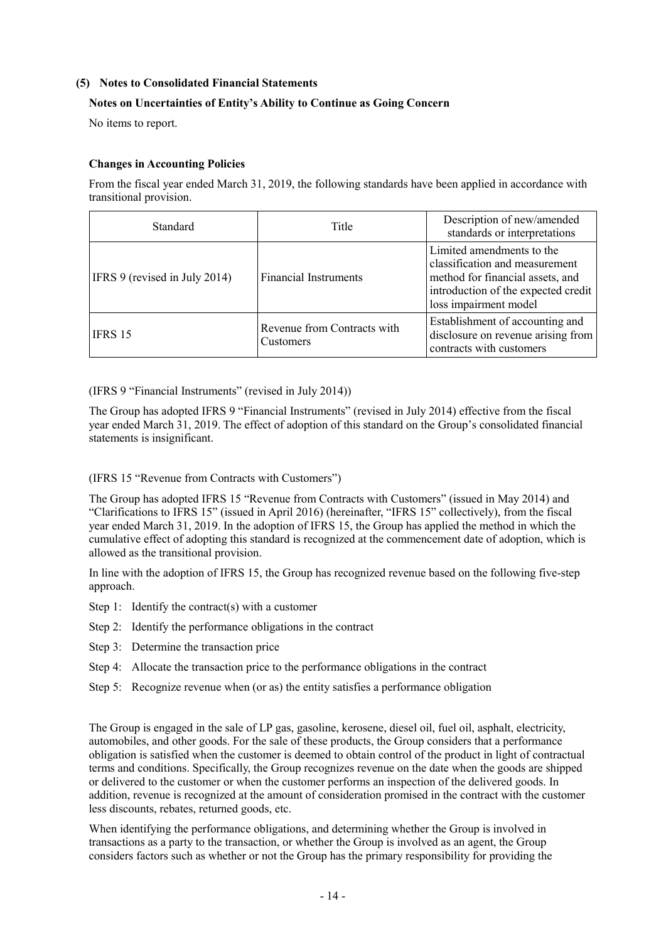## **(5) Notes to Consolidated Financial Statements**

## **Notes on Uncertainties of Entity's Ability to Continue as Going Concern**

No items to report.

#### **Changes in Accounting Policies**

From the fiscal year ended March 31, 2019, the following standards have been applied in accordance with transitional provision.

| <b>Standard</b>               | Title                                           | Description of new/amended<br>standards or interpretations                                                                                                      |
|-------------------------------|-------------------------------------------------|-----------------------------------------------------------------------------------------------------------------------------------------------------------------|
| IFRS 9 (revised in July 2014) | <b>Financial Instruments</b>                    | Limited amendments to the<br>classification and measurement<br>method for financial assets, and<br>introduction of the expected credit<br>loss impairment model |
| IFRS 15                       | Revenue from Contracts with<br><b>Customers</b> | Establishment of accounting and<br>disclosure on revenue arising from<br>contracts with customers                                                               |

(IFRS 9 "Financial Instruments" (revised in July 2014))

The Group has adopted IFRS 9 "Financial Instruments" (revised in July 2014) effective from the fiscal year ended March 31, 2019. The effect of adoption of this standard on the Group's consolidated financial statements is insignificant.

# (IFRS 15 "Revenue from Contracts with Customers")

The Group has adopted IFRS 15 "Revenue from Contracts with Customers" (issued in May 2014) and "Clarifications to IFRS 15" (issued in April 2016) (hereinafter, "IFRS 15" collectively), from the fiscal year ended March 31, 2019. In the adoption of IFRS 15, the Group has applied the method in which the cumulative effect of adopting this standard is recognized at the commencement date of adoption, which is allowed as the transitional provision.

In line with the adoption of IFRS 15, the Group has recognized revenue based on the following five-step approach.

- Step 1: Identify the contract(s) with a customer
- Step 2: Identify the performance obligations in the contract
- Step 3: Determine the transaction price
- Step 4: Allocate the transaction price to the performance obligations in the contract
- Step 5: Recognize revenue when (or as) the entity satisfies a performance obligation

The Group is engaged in the sale of LP gas, gasoline, kerosene, diesel oil, fuel oil, asphalt, electricity, automobiles, and other goods. For the sale of these products, the Group considers that a performance obligation is satisfied when the customer is deemed to obtain control of the product in light of contractual terms and conditions. Specifically, the Group recognizes revenue on the date when the goods are shipped or delivered to the customer or when the customer performs an inspection of the delivered goods. In addition, revenue is recognized at the amount of consideration promised in the contract with the customer less discounts, rebates, returned goods, etc.

When identifying the performance obligations, and determining whether the Group is involved in transactions as a party to the transaction, or whether the Group is involved as an agent, the Group considers factors such as whether or not the Group has the primary responsibility for providing the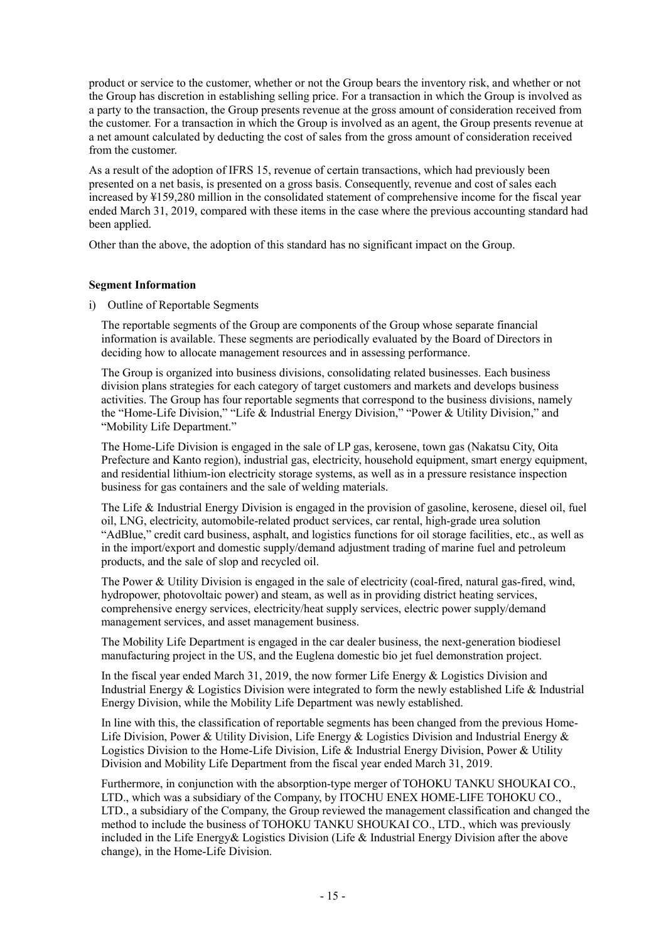product or service to the customer, whether or not the Group bears the inventory risk, and whether or not the Group has discretion in establishing selling price. For a transaction in which the Group is involved as a party to the transaction, the Group presents revenue at the gross amount of consideration received from the customer. For a transaction in which the Group is involved as an agent, the Group presents revenue at a net amount calculated by deducting the cost of sales from the gross amount of consideration received from the customer.

As a result of the adoption of IFRS 15, revenue of certain transactions, which had previously been presented on a net basis, is presented on a gross basis. Consequently, revenue and cost of sales each increased by ¥159,280 million in the consolidated statement of comprehensive income for the fiscal year ended March 31, 2019, compared with these items in the case where the previous accounting standard had been applied.

Other than the above, the adoption of this standard has no significant impact on the Group.

# **Segment Information**

i) Outline of Reportable Segments

The reportable segments of the Group are components of the Group whose separate financial information is available. These segments are periodically evaluated by the Board of Directors in deciding how to allocate management resources and in assessing performance.

The Group is organized into business divisions, consolidating related businesses. Each business division plans strategies for each category of target customers and markets and develops business activities. The Group has four reportable segments that correspond to the business divisions, namely the "Home-Life Division," "Life & Industrial Energy Division," "Power & Utility Division," and "Mobility Life Department."

The Home-Life Division is engaged in the sale of LP gas, kerosene, town gas (Nakatsu City, Oita Prefecture and Kanto region), industrial gas, electricity, household equipment, smart energy equipment, and residential lithium-ion electricity storage systems, as well as in a pressure resistance inspection business for gas containers and the sale of welding materials.

The Life & Industrial Energy Division is engaged in the provision of gasoline, kerosene, diesel oil, fuel oil, LNG, electricity, automobile-related product services, car rental, high-grade urea solution "AdBlue," credit card business, asphalt, and logistics functions for oil storage facilities, etc., as well as in the import/export and domestic supply/demand adjustment trading of marine fuel and petroleum products, and the sale of slop and recycled oil.

The Power & Utility Division is engaged in the sale of electricity (coal-fired, natural gas-fired, wind, hydropower, photovoltaic power) and steam, as well as in providing district heating services, comprehensive energy services, electricity/heat supply services, electric power supply/demand management services, and asset management business.

The Mobility Life Department is engaged in the car dealer business, the next-generation biodiesel manufacturing project in the US, and the Euglena domestic bio jet fuel demonstration project.

In the fiscal year ended March 31, 2019, the now former Life Energy  $&$  Logistics Division and Industrial Energy & Logistics Division were integrated to form the newly established Life & Industrial Energy Division, while the Mobility Life Department was newly established.

In line with this, the classification of reportable segments has been changed from the previous Home-Life Division, Power & Utility Division, Life Energy & Logistics Division and Industrial Energy & Logistics Division to the Home-Life Division, Life & Industrial Energy Division, Power & Utility Division and Mobility Life Department from the fiscal year ended March 31, 2019.

Furthermore, in conjunction with the absorption-type merger of TOHOKU TANKU SHOUKAI CO., LTD., which was a subsidiary of the Company, by ITOCHU ENEX HOME-LIFE TOHOKU CO., LTD., a subsidiary of the Company, the Group reviewed the management classification and changed the method to include the business of TOHOKU TANKU SHOUKAI CO., LTD., which was previously included in the Life Energy& Logistics Division (Life & Industrial Energy Division after the above change), in the Home-Life Division.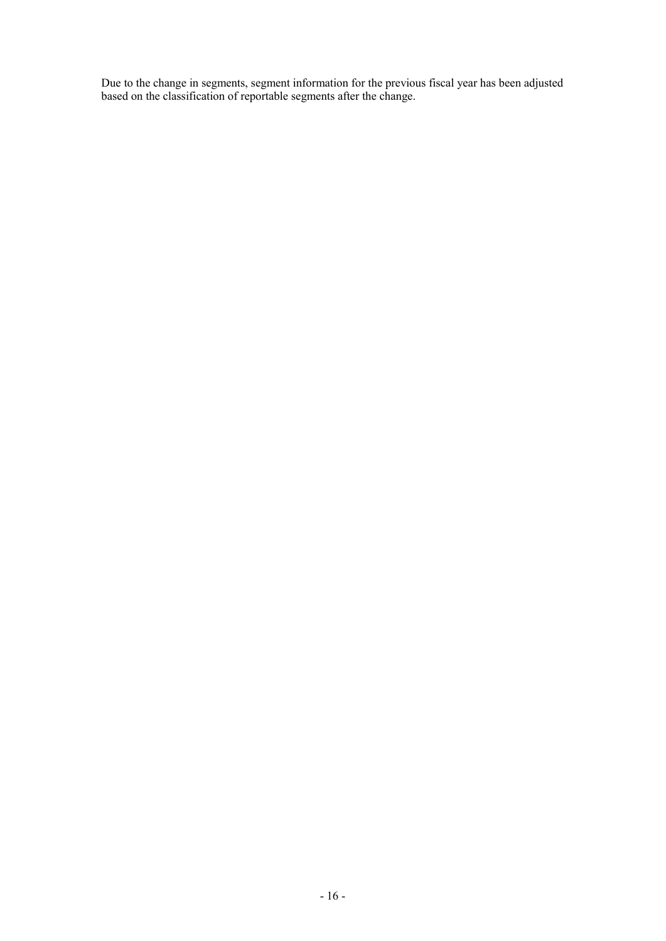Due to the change in segments, segment information for the previous fiscal year has been adjusted based on the classification of reportable segments after the change.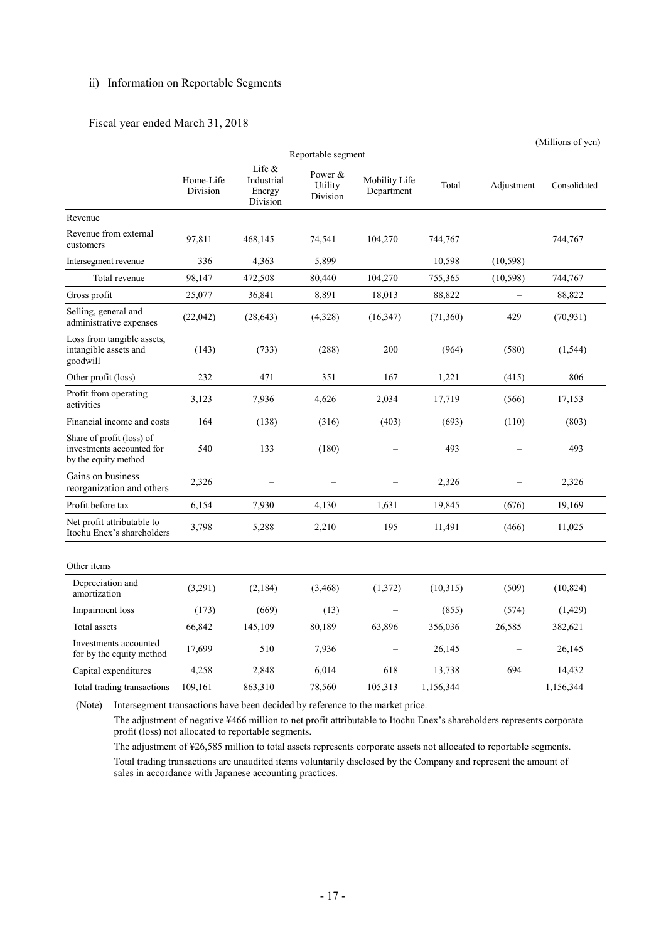# ii) Information on Reportable Segments

### Fiscal year ended March 31, 2018

|                                                                                |                       |                                            |                                |                             |           |                          | (Millions of yen) |
|--------------------------------------------------------------------------------|-----------------------|--------------------------------------------|--------------------------------|-----------------------------|-----------|--------------------------|-------------------|
|                                                                                | Reportable segment    |                                            |                                |                             |           |                          |                   |
|                                                                                | Home-Life<br>Division | Life &<br>Industrial<br>Energy<br>Division | Power &<br>Utility<br>Division | Mobility Life<br>Department | Total     | Adjustment               | Consolidated      |
| Revenue                                                                        |                       |                                            |                                |                             |           |                          |                   |
| Revenue from external<br>customers                                             | 97,811                | 468,145                                    | 74,541                         | 104,270                     | 744,767   |                          | 744,767           |
| Intersegment revenue                                                           | 336                   | 4,363                                      | 5,899                          |                             | 10,598    | (10, 598)                |                   |
| Total revenue                                                                  | 98,147                | 472,508                                    | 80,440                         | 104,270                     | 755,365   | (10, 598)                | 744,767           |
| Gross profit                                                                   | 25,077                | 36,841                                     | 8,891                          | 18,013                      | 88,822    | $\overline{\phantom{0}}$ | 88,822            |
| Selling, general and<br>administrative expenses                                | (22,042)              | (28, 643)                                  | (4,328)                        | (16, 347)                   | (71, 360) | 429                      | (70, 931)         |
| Loss from tangible assets,<br>intangible assets and<br>goodwill                | (143)                 | (733)                                      | (288)                          | 200                         | (964)     | (580)                    | (1, 544)          |
| Other profit (loss)                                                            | 232                   | 471                                        | 351                            | 167                         | 1,221     | (415)                    | 806               |
| Profit from operating<br>activities                                            | 3,123                 | 7,936                                      | 4,626                          | 2,034                       | 17,719    | (566)                    | 17,153            |
| Financial income and costs                                                     | 164                   | (138)                                      | (316)                          | (403)                       | (693)     | (110)                    | (803)             |
| Share of profit (loss) of<br>investments accounted for<br>by the equity method | 540                   | 133                                        | (180)                          |                             | 493       |                          | 493               |
| Gains on business<br>reorganization and others                                 | 2,326                 |                                            |                                |                             | 2,326     |                          | 2,326             |
| Profit before tax                                                              | 6,154                 | 7,930                                      | 4,130                          | 1,631                       | 19,845    | (676)                    | 19,169            |
| Net profit attributable to<br>Itochu Enex's shareholders                       | 3,798                 | 5,288                                      | 2,210                          | 195                         | 11,491    | (466)                    | 11,025            |
| Other items                                                                    |                       |                                            |                                |                             |           |                          |                   |
| Depreciation and<br>amortization                                               | (3,291)               | (2,184)                                    | (3,468)                        | (1,372)                     | (10,315)  | (509)                    | (10, 824)         |
| Impairment loss                                                                | (173)                 | (669)                                      | (13)                           |                             | (855)     | (574)                    | (1,429)           |
| Total assets                                                                   | 66,842                | 145,109                                    | 80,189                         | 63,896                      | 356,036   | 26,585                   | 382,621           |
| Investments accounted<br>for by the equity method                              | 17,699                | 510                                        | 7,936                          |                             | 26,145    |                          | 26,145            |
| Capital expenditures                                                           | 4,258                 | 2,848                                      | 6,014                          | 618                         | 13,738    | 694                      | 14,432            |
| Total trading transactions                                                     | 109,161               | 863,310                                    | 78,560                         | 105,313                     | 1,156,344 | $\equiv$                 | 1,156,344         |

(Note) Intersegment transactions have been decided by reference to the market price. The adjustment of negative ¥466 million to net profit attributable to Itochu Enex's shareholders represents corporate profit (loss) not allocated to reportable segments.

The adjustment of ¥26,585 million to total assets represents corporate assets not allocated to reportable segments. Total trading transactions are unaudited items voluntarily disclosed by the Company and represent the amount of sales in accordance with Japanese accounting practices.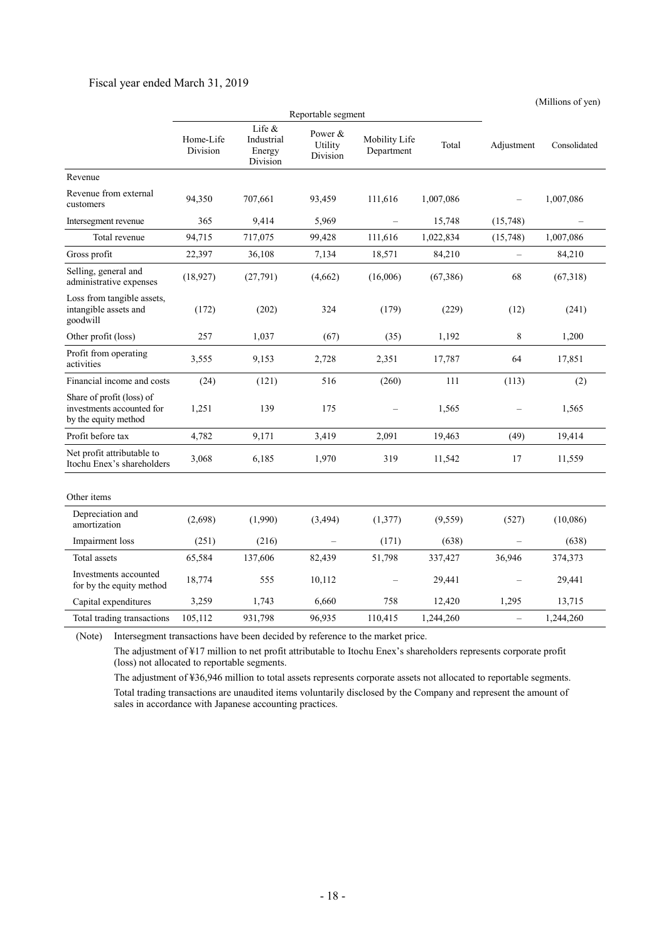#### Fiscal year ended March 31, 2019

 Reportable segment Home-Life Division Life & Industrial Energy Division Power & Utility Division Mobility Life Department Total Adjustment Consolidated Revenue Revenue from external customers 94,350 707,661 93,459 111,616 1,007,086 – 1,007,086 Intersegment revenue 365 9,414 5,969 – 15,748 (15,748) Total revenue 94,715 717,075 99,428 111,616 1,022,834 (15,748) 1,007,086 Gross profit 22,397 36,108 7,134 18,571 84,210 - 84,210 Selling, general and selling, general and (18,927) (27,791) (4,662) (16,006) (67,386) 68 (67,318) administrative expenses Loss from tangible assets, intangible assets and goodwill (172) (202) 324 (179) (229) (12) (241) Other profit (loss) 257 1,037 (67) (35) 1,192 8 1,200 Profit from operating activities 3,555 9,153 2,728 2,351 17,787 64 17,851 Financial income and costs (24) (121) 516 (260) 111 (113) (2) Share of profit (loss) of investments accounted for by the equity method 1,251 139 175 – 1,565 – 1,565 Profit before tax  $4.782$  9.171 3.419 2.091 19,463 (49) 19,414 Net profit attributable to Net profit attributable to<br>
Itochu Enex's shareholders 3,068 6,185 1,970 319 11,542 17 11,559 Other items Depreciation and amortization (2,698) (1,990) (3,494) (1,377) (9,559) (527) (10,086) Impairment loss (251) (216) – (171) (638) – (638) Total assets 65,584 137,606 82,439 51,798 337,427 36,946 374,373 Investments accounted for by the equity method 18,774 555 10,112 – 29,441 – 29,441<br>for by the equity method Capital expenditures 3,259 1,743 6,660 758 12,420 1,295 13,715 Total trading transactions 105,112 931,798 96,935 110,415 1,244,260 – 1,244,260

(Millions of yen)

(Note) Intersegment transactions have been decided by reference to the market price.

The adjustment of ¥17 million to net profit attributable to Itochu Enex's shareholders represents corporate profit (loss) not allocated to reportable segments.

The adjustment of ¥36,946 million to total assets represents corporate assets not allocated to reportable segments. Total trading transactions are unaudited items voluntarily disclosed by the Company and represent the amount of sales in accordance with Japanese accounting practices.